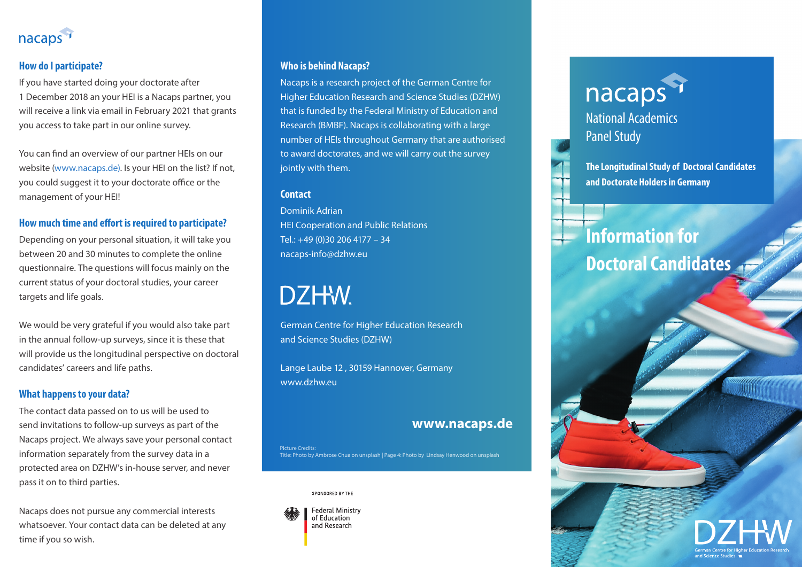

# **How do I participate?**

If you have started doing your doctorate after 1 December 2018 an your HEI is a Nacaps partner, you will receive a link via email in February 2021 that grants you access to take part in our online survey.

You can find an overview of our partner HEIs on our website (www.nacaps.de). Is your HEI on the list? If not, you could suggest it to your doctorate office or the management of your HEI!

#### **How much time and effort is required to participate?**

Depending on your personal situation, it will take you between 20 and 30 minutes to complete the online questionnaire. The questions will focus mainly on the current status of your doctoral studies, your career targets and life goals.

We would be very grateful if you would also take part in the annual follow-up surveys, since it is these that will provide us the longitudinal perspective on doctoral candidates' careers and life paths.

#### **What happens to your data?**

The contact data passed on to us will be used to send invitations to follow-up surveys as part of the Nacaps project. We always save your personal contact information separately from the survey data in a protected area on DZHW's in-house server, and never pass it on to third parties.

Nacaps does not pursue any commercial interests whatsoever. Your contact data can be deleted at any time if you so wish.

# **Who is behind Nacaps?**

Nacaps is a research project of the German Centre for Higher Education Research and Science Studies (DZHW) that is funded by the Federal Ministry of Education and Research (BMBF). Nacaps is collaborating with a large number of HEIs throughout Germany that are authorised to award doctorates, and we will carry out the survey jointly with them.

#### **Contact**

Dominik Adrian HEI Cooperation and Public Relations Tel.: +49 (0)30 206 4177 – 34 nacaps-info@dzhw.eu

# DZHW.

German Centre for Higher Education Research and Science Studies (DZHW)

Lange Laube 12 , 30159 Hannover, Germany www.dzhw.eu

#### **www.nacaps.de**

Picture Credits: Title: Photo by Ambrose Chua on unsplash | Page 4: Photo by Lindsay Henwood on unsplash

SPONSORED BY THE



# nacaps<sup>1</sup>

National Academics Panel Study

**The Longitudinal Study of Doctoral Candidates and Doctorate Holders in Germany**

# **Information for Doctoral Candidates**